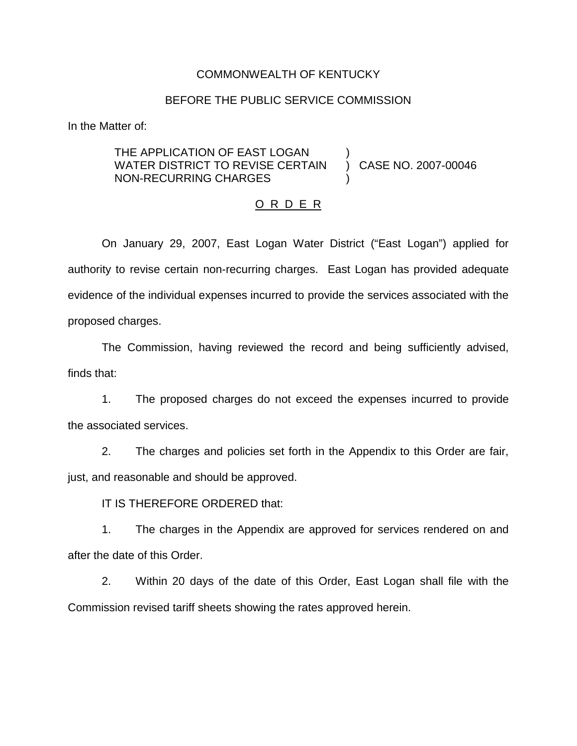#### COMMONWEALTH OF KENTUCKY

#### BEFORE THE PUBLIC SERVICE COMMISSION

)

)

In the Matter of:

## THE APPLICATION OF EAST LOGAN WATER DISTRICT TO REVISE CERTAIN NON-RECURRING CHARGES

) CASE NO. 2007-00046

#### O R D E R

On January 29, 2007, East Logan Water District ("East Logan") applied for authority to revise certain non-recurring charges. East Logan has provided adequate evidence of the individual expenses incurred to provide the services associated with the proposed charges.

The Commission, having reviewed the record and being sufficiently advised, finds that:

1. The proposed charges do not exceed the expenses incurred to provide the associated services.

2. The charges and policies set forth in the Appendix to this Order are fair, just, and reasonable and should be approved.

IT IS THEREFORE ORDERED that:

1. The charges in the Appendix are approved for services rendered on and after the date of this Order.

2. Within 20 days of the date of this Order, East Logan shall file with the Commission revised tariff sheets showing the rates approved herein.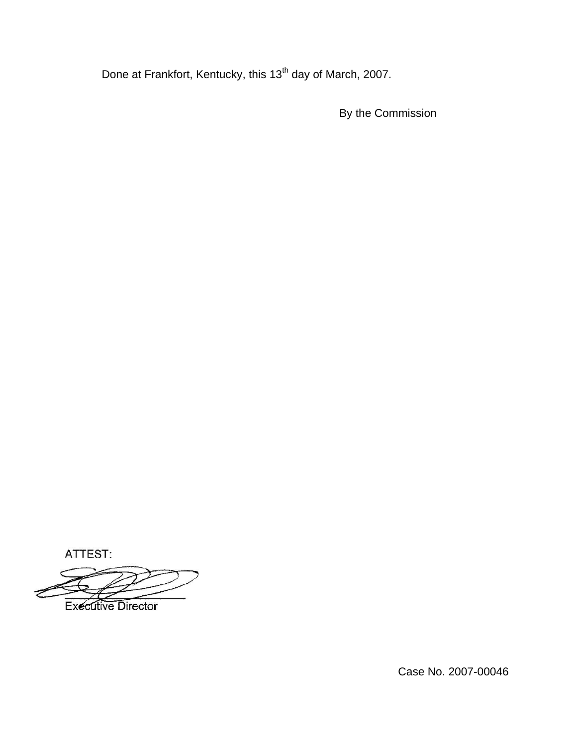Done at Frankfort, Kentucky, this 13<sup>th</sup> day of March, 2007.

By the Commission

ATTEST:

**Executive Director** 

Case No. 2007-00046